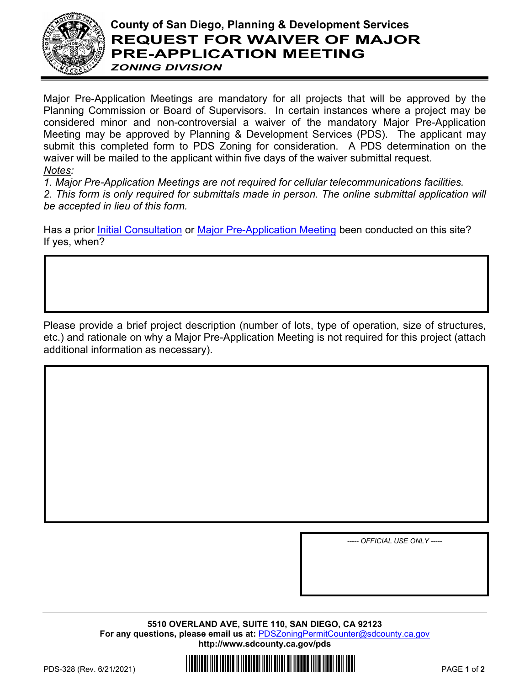

## **County of San Diego, Planning & Development Services REQUEST FOR WAIVER OF MAJOR PRE-APPLICATION MEETING** *ZONING DIVISION*

Major Pre-Application Meetings are mandatory for all projects that will be approved by the Planning Commission or Board of Supervisors. In certain instances where a project may be considered minor and non-controversial a waiver of the mandatory Major Pre-Application Meeting may be approved by Planning & Development Services (PDS). The applicant may submit this completed form to PDS Zoning for consideration. A PDS determination on the waiver will be mailed to the applicant within five days of the waiver submittal request*. Notes:* 

*1. Major Pre-Application Meetings are not required for cellular telecommunications facilities. 2. This form is only required for submittals made in person. The online submittal application will be accepted in lieu of this form.*

Has a prior [Initial Consultation](http://www.sdcounty.ca.gov/pds/zoning/formfields/PDS-PLN-ESUB_Initial_Consult_Meeting.pdf) or [Major Pre-Application Meeting](http://www.sdcounty.ca.gov/pds/zoning/formfields/PDS-PLN-ESUB_Major_Project_Pre_App.pdf) been conducted on this site? If yes, when?

Please provide a brief project description (number of lots, type of operation, size of structures, etc.) and rationale on why a Major Pre-Application Meeting is not required for this project (attach additional information as necessary).

*----- OFFICIAL USE ONLY -----*